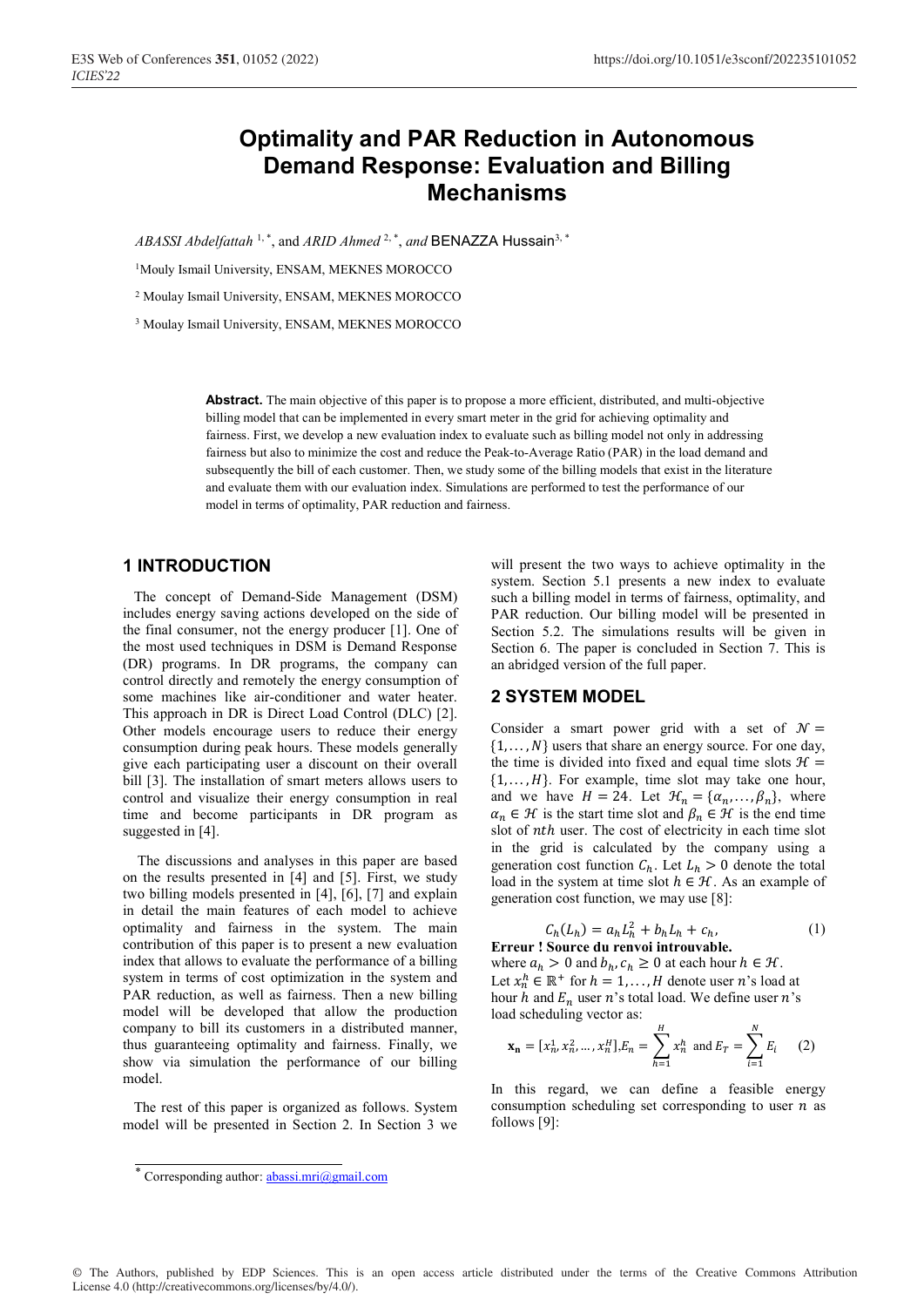# **Optimality and PAR Reduction in Autonomous Demand Response: Evaluation and Billing Mechanisms**

*ABASSI Abdelfattah* <sup>1,\*</sup>, and *ARID Ahmed* <sup>2,\*</sup>, and **BENAZZA Hussain**<sup>3, 1</sup>

<sup>1</sup>Mouly Ismail University, ENSAM, MEKNES MOROCCO

2 Moulay Ismail University, ENSAM, MEKNES MOROCCO

3 Moulay Ismail University, ENSAM, MEKNES MOROCCO

**Abstract.** The main objective of this paper is to propose a more efficient, distributed, and multi-objective billing model that can be implemented in every smart meter in the grid for achieving optimality and fairness. First, we develop a new evaluation index to evaluate such as billing model not only in addressing fairness but also to minimize the cost and reduce the Peak-to-Average Ratio (PAR) in the load demand and subsequently the bill of each customer. Then, we study some of the billing models that exist in the literature and evaluate them with our evaluation index. Simulations are performed to test the performance of our model in terms of optimality, PAR reduction and fairness.

### **1 INTRODUCTION**

 The concept of Demand-Side Management (DSM) includes energy saving actions developed on the side of the final consumer, not the energy producer [1]. One of the most used techniques in DSM is Demand Response (DR) programs. In DR programs, the company can control directly and remotely the energy consumption of some machines like air-conditioner and water heater. This approach in DR is Direct Load Control (DLC) [2]. Other models encourage users to reduce their energy consumption during peak hours. These models generally give each participating user a discount on their overall bill [3]. The installation of smart meters allows users to control and visualize their energy consumption in real time and become participants in DR program as suggested in [4].

 The discussions and analyses in this paper are based on the results presented in [4] and [5]. First, we study two billing models presented in [4], [6], [7] and explain in detail the main features of each model to achieve optimality and fairness in the system. The main contribution of this paper is to present a new evaluation index that allows to evaluate the performance of a billing system in terms of cost optimization in the system and PAR reduction, as well as fairness. Then a new billing model will be developed that allow the production company to bill its customers in a distributed manner, thus guaranteeing optimality and fairness. Finally, we show via simulation the performance of our billing model.

 The rest of this paper is organized as follows. System model will be presented in Section 2. In Section 3 we will present the two ways to achieve optimality in the system. Section 5.1 presents a new index to evaluate such a billing model in terms of fairness, optimality, and PAR reduction. Our billing model will be presented in Section 5.2. The simulations results will be given in Section 6. The paper is concluded in Section 7. This is an abridged version of the full paper.

### **2 SYSTEM MODEL**

Consider a smart power grid with a set of  $\mathcal{N} =$  $\{1, \ldots, N\}$  users that share an energy source. For one day, the time is divided into fixed and equal time slots  $\mathcal{H} =$  $\{1, \ldots, H\}$ . For example, time slot may take one hour, and we have  $H = 24$ . Let  $\mathcal{H}_n = {\alpha_n, \dots, \beta_n}$ , where  $\alpha_n \in \mathcal{H}$  is the start time slot and  $\beta_n \in \mathcal{H}$  is the end time slot of *nth* user. The cost of electricity in each time slot in the grid is calculated by the company using a generation cost function  $C_h$ . Let  $L_h > 0$  denote the total load in the system at time slot  $h \in \mathcal{H}$ . As an example of generation cost function, we may use [8]:

$$
C_h(L_h) = a_h L_h^2 + b_h L_h + c_h,
$$
  
Error ! Source du renovoi introuvable. (1)

where  $a_h > 0$  and  $b_h, c_h \ge 0$  at each hour  $h \in \mathcal{H}$ . Let  $x_n^h \in \mathbb{R}^+$  for  $h = 1, ..., H$  denote user n's load at hour h and  $E_n$  user n's total load. We define user n's load scheduling vector as:

$$
\mathbf{x_n} = [x_n^1, x_n^2, \dots, x_n^H], E_n = \sum_{h=1}^H x_n^h \text{ and } E_T = \sum_{i=1}^N E_i \qquad (2)
$$

In this regard, we can define a feasible energy consumption scheduling set corresponding to user  $n$  as follows [9]:

<sup>\*</sup> Corresponding author: abassi.mri@gmail.com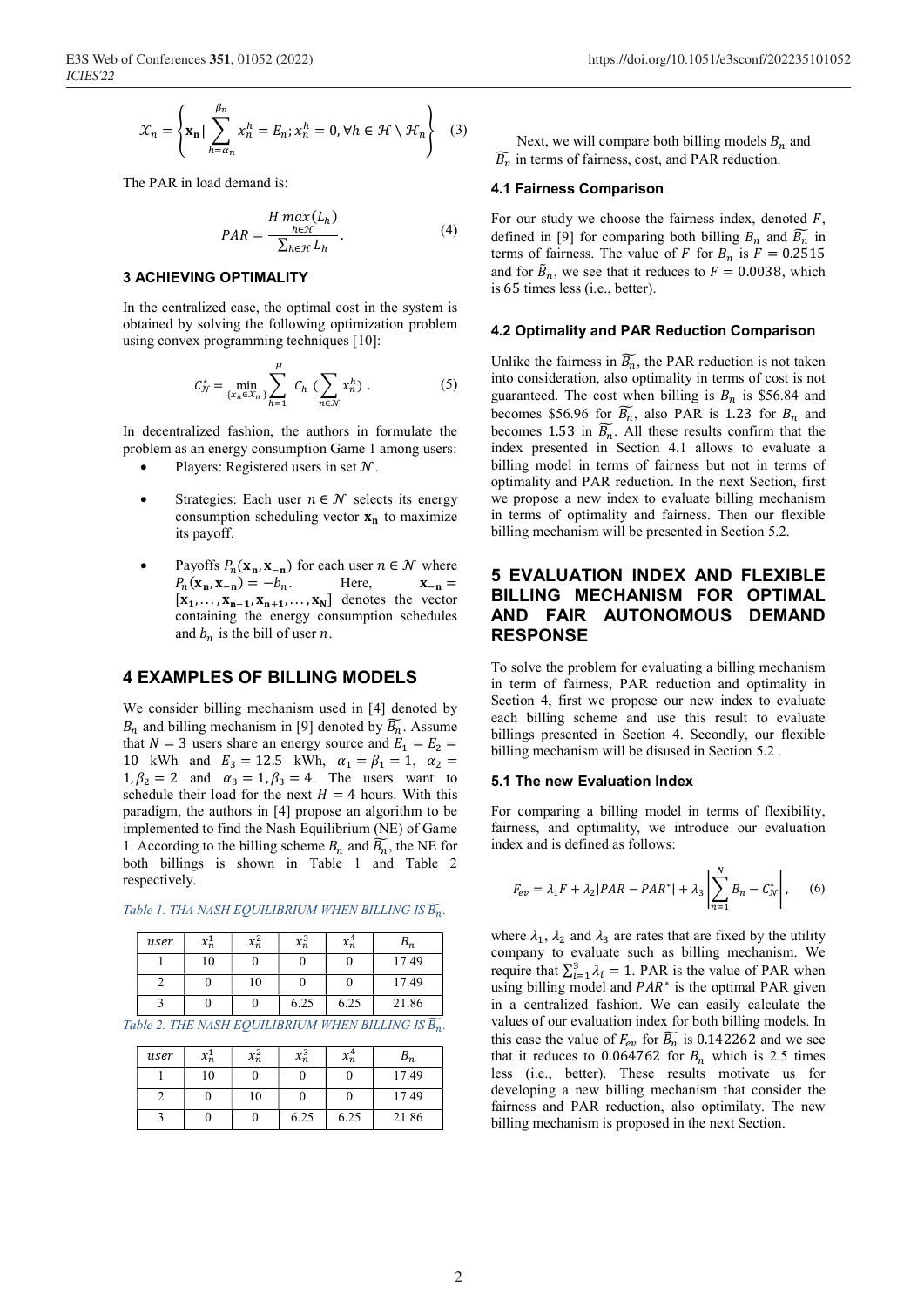$$
\mathcal{X}_n = \left\{ \mathbf{x_n} \mid \sum_{h=\alpha_n}^{\beta_n} x_n^h = E_n; x_n^h = 0, \forall h \in \mathcal{H} \setminus \mathcal{H}_n \right\} \quad (3)
$$

The PAR in load demand is:

$$
PAR = \frac{H \max(L_h)}{\sum_{h \in \mathcal{H}} L_h}.
$$
\n(4)

#### **3 ACHIEVING OPTIMALITY**

In the centralized case, the optimal cost in the system is obtained by solving the following optimization problem using convex programming techniques [10]:

$$
C_N^* = \min_{\{x_n \in X_n\}} \sum_{h=1}^H C_h \, \left( \sum_{n \in \mathcal{N}} x_n^h \right) \,. \tag{5}
$$

In decentralized fashion, the authors in formulate the problem as an energy consumption Game 1 among users:

- Players: Registered users in set  $N$ .
- Strategies: Each user  $n \in \mathcal{N}$  selects its energy consumption scheduling vector  $x_n$  to maximize its payoff.
- Payoffs  $P_n(\mathbf{x_n}, \mathbf{x_{-n}})$  for each user  $n \in \mathcal{N}$  where<br>  $P_n(\mathbf{x_n}, \mathbf{x_{-n}}) = -b_n$ . Here,  $\mathbf{x_{-n}} =$  $P_n(\mathbf{x}_n, \mathbf{x}_{-n}) = -b_n.$  $[x_1, \ldots, x_{n-1}, x_{n+1}, \ldots, x_N]$  denotes the vector containing the energy consumption schedules and  $b_n$  is the bill of user n.

# **4 EXAMPLES OF BILLING MODELS**

We consider billing mechanism used in [4] denoted by  $B_n$  and billing mechanism in [9] denoted by  $\overline{B_n}$ . Assume that  $N = 3$  users share an energy source and  $E_1 = E_2$ 10 kWh and  $E_3 = 12.5$  kWh,  $\alpha_1 = \beta_1 = 1$ ,  $\alpha_2 =$  $1, \beta_2 = 2$  and  $\alpha_3 = 1, \beta_3 = 4$ . The users want to schedule their load for the next  $H = 4$  hours. With this paradigm, the authors in [4] propose an algorithm to be implemented to find the Nash Equilibrium (NE) of Game 1. According to the billing scheme  $B_n$  and  $\overline{B_n}$ , the NE for both billings is shown in Table 1 and Table 2 respectively.

| user | $x_n$ | $x_n^2$ | $x_n^3$ | $x_n^*$ | υm    |
|------|-------|---------|---------|---------|-------|
|      | 10    |         |         |         | 17.49 |
|      |       | 10      |         |         | 17.49 |
|      |       |         | 6.25    | 6.25    | 21.86 |

*Table 1. THA NASH EQUILIBRIUM WHEN BILLING IS*  ��.

*Table 2. THE NASH EQUILIBRIUM WHEN BILLING IS*  ��.

| user | $x_n^1$ | $x_n^2$ | $x_n^3$ | $x_n^{\texttt{+}}$ | $\bm{\nu}_{\bm n}$ |
|------|---------|---------|---------|--------------------|--------------------|
|      | 10      |         |         |                    | 17.49              |
|      |         | 10      |         |                    | 17.49              |
|      |         |         | 6.25    | 6.25               | 21.86              |

Next, we will compare both billing models  $B_n$  and  $\overline{B_n}$  in terms of fairness, cost, and PAR reduction.

#### **4.1 Fairness Comparison**

For our study we choose the fairness index, denoted  $F$ , defined in [9] for comparing both billing  $B_n$  and  $\overline{B_n}$  in terms of fairness. The value of F for  $B_n$  is  $F = 0.2515$ and for  $\tilde{B}_n$ , we see that it reduces to  $F = 0.0038$ , which is 65 times less (i.e., better).

#### **4.2 Optimality and PAR Reduction Comparison**

Unlike the fairness in  $B_n$ , the PAR reduction is not taken into consideration, also optimality in terms of cost is not guaranteed. The cost when billing is  $B_n$  is \$56.84 and becomes \$56.96 for  $\overline{B_n}$ , also PAR is 1.23 for  $B_n$  and becomes 1.53 in  $B_n$ . All these results confirm that the index presented in Section 4.1 allows to evaluate a billing model in terms of fairness but not in terms of optimality and PAR reduction. In the next Section, first we propose a new index to evaluate billing mechanism in terms of optimality and fairness. Then our flexible billing mechanism will be presented in Section 5.2.

# **5 EVALUATION INDEX AND FLEXIBLE BILLING MECHANISM FOR OPTIMAL AND FAIR AUTONOMOUS DEMAND RESPONSE**

To solve the problem for evaluating a billing mechanism in term of fairness, PAR reduction and optimality in Section 4, first we propose our new index to evaluate each billing scheme and use this result to evaluate billings presented in Section 4. Secondly, our flexible billing mechanism will be disused in Section 5.2 .

#### **5.1 The new Evaluation Index**

For comparing a billing model in terms of flexibility, fairness, and optimality, we introduce our evaluation index and is defined as follows:

$$
F_{ev} = \lambda_1 F + \lambda_2 |PAR - PAR^*| + \lambda_3 \left| \sum_{n=1}^{N} B_n - C_N^* \right|, \quad (6)
$$

where  $\lambda_1$ ,  $\lambda_2$  and  $\lambda_3$  are rates that are fixed by the utility company to evaluate such as billing mechanism. We require that  $\sum_{i=1}^{3} \lambda_i = 1$ . PAR is the value of PAR when using billing model and  $PAR^*$  is the optimal PAR given in a centralized fashion. We can easily calculate the values of our evaluation index for both billing models. In this case the value of  $F_{ev}$  for  $\overline{B_n}$  is 0.142262 and we see that it reduces to 0.064762 for  $B_n$  which is 2.5 times less (i.e., better). These results motivate us for developing a new billing mechanism that consider the fairness and PAR reduction, also optimilaty. The new billing mechanism is proposed in the next Section.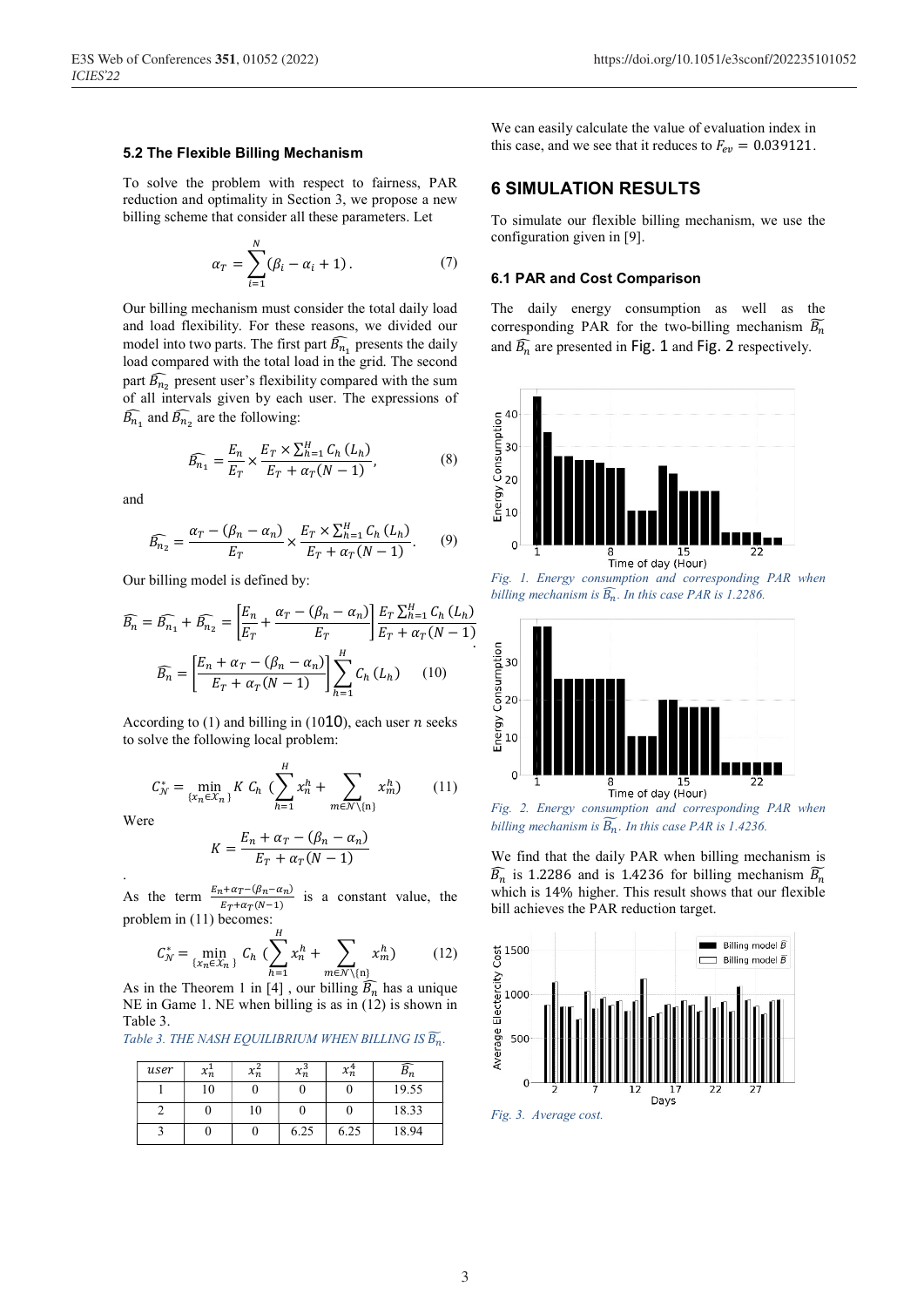#### 5.2 The Flexible Billing Mechanism

To solve the problem with respect to fairness, PAR reduction and optimality in Section 3, we propose a new billing scheme that consider all these parameters. Let

$$
\alpha_T = \sum_{i=1}^N (\beta_i - \alpha_i + 1). \tag{7}
$$

Our billing mechanism must consider the total daily load and load flexibility. For these reasons, we divided our model into two parts. The first part  $\widehat{B_{n_1}}$  presents the daily load compared with the total load in the grid. The second part  $\widehat{B_{n_2}}$  present user's flexibility compared with the sum of all intervals given by each user. The expressions of  $\widehat{B_{n_1}}$  and  $\widehat{B_{n_2}}$  are the following:

$$
\widehat{B_{n_1}} = \frac{E_n}{E_T} \times \frac{E_T \times \sum_{h=1}^H C_h (L_h)}{E_T + \alpha_T (N-1)},
$$
\n(8)

and

$$
\widehat{B_{n_2}} = \frac{\alpha_T - (\beta_n - \alpha_n)}{E_T} \times \frac{E_T \times \sum_{h=1}^H C_h (L_h)}{E_T + \alpha_T (N-1)}.
$$
 (9)

Our billing model is defined by:

$$
\widehat{B_n} = \widehat{B_{n_1}} + \widehat{B_{n_2}} = \left[\frac{E_n}{E_T} + \frac{\alpha_T - (\beta_n - \alpha_n)}{E_T}\right] \frac{E_T \sum_{h=1}^H C_h (L_h)}{E_T + \alpha_T (N-1)}
$$
\n
$$
\widehat{B_n} = \left[\frac{E_n + \alpha_T - (\beta_n - \alpha_n)}{E_T + \alpha_T (N-1)}\right] \sum_{h=1}^H C_h (L_h) \qquad (10)
$$

According to (1) and billing in (1010), each user  $n$  seeks to solve the following local problem:

$$
C_N^* = \min_{\{x_n \in \mathcal{X}_n\}} K C_h \, \left( \sum_{h=1}^H x_n^h + \sum_{m \in \mathcal{N} \setminus \{n\}} x_m^h \right) \tag{11}
$$

Were

$$
K = \frac{E_n + \alpha_T - (\beta_n - \alpha_n)}{E_T + \alpha_T (N - 1)}
$$

As the term  $\frac{E_n + \alpha_T - (\beta_n - \alpha_n)}{T}$ is a constant value, the  $E_T + \alpha_T(N-1)$ problem in  $(11)$  becomes:

$$
C_N^* = \min_{\{x_n \in X_n\}} C_h \, \, \left( \sum_{h=1}^H x_n^h + \sum_{m \in \mathcal{N} \setminus \{n\}} x_m^h \right) \tag{12}
$$

As in the Theorem 1 in [4], our billing  $\widehat{B_n}$  has a unique NE in Game 1. NE when billing is as in (12) is shown in Table 3.

| Table 3. THE NASH EQUILIBRIUM WHEN BILLING IS B". |  |  |  |  |
|---------------------------------------------------|--|--|--|--|
|---------------------------------------------------|--|--|--|--|

| user | $x_n$ | $x_n$ | $x_n^3$ | $x_n^4$ |       |
|------|-------|-------|---------|---------|-------|
|      | 10    |       |         |         | 19.55 |
|      |       | 10    |         |         | 18.33 |
|      |       |       | 6.25    | 6.25    | 18.94 |

We can easily calculate the value of evaluation index in this case, and we see that it reduces to  $F_{ev} = 0.039121$ .

# **6 SIMULATION RESULTS**

To simulate our flexible billing mechanism, we use the configuration given in [9].

### **6.1 PAR and Cost Comparison**

The daily energy consumption as well as the corresponding PAR for the two-billing mechanism  $\widetilde{B_n}$ and  $\widehat{B_n}$  are presented in Fig. 1 and Fig. 2 respectively.



Fig. 1. Energy consumption and corresponding PAR when billing mechanism is  $\widehat{B_n}$ . In this case PAR is 1.2286.



billing mechanism is  $\widetilde{B_n}$ . In this case PAR is 1.4236.

We find that the daily PAR when billing mechanism is  $\widehat{B_n}$  is 1.2286 and is 1.4236 for billing mechanism  $\widetilde{B_n}$ which is 14% higher. This result shows that our flexible bill achieves the PAR reduction target.



Fig. 3. Average cost.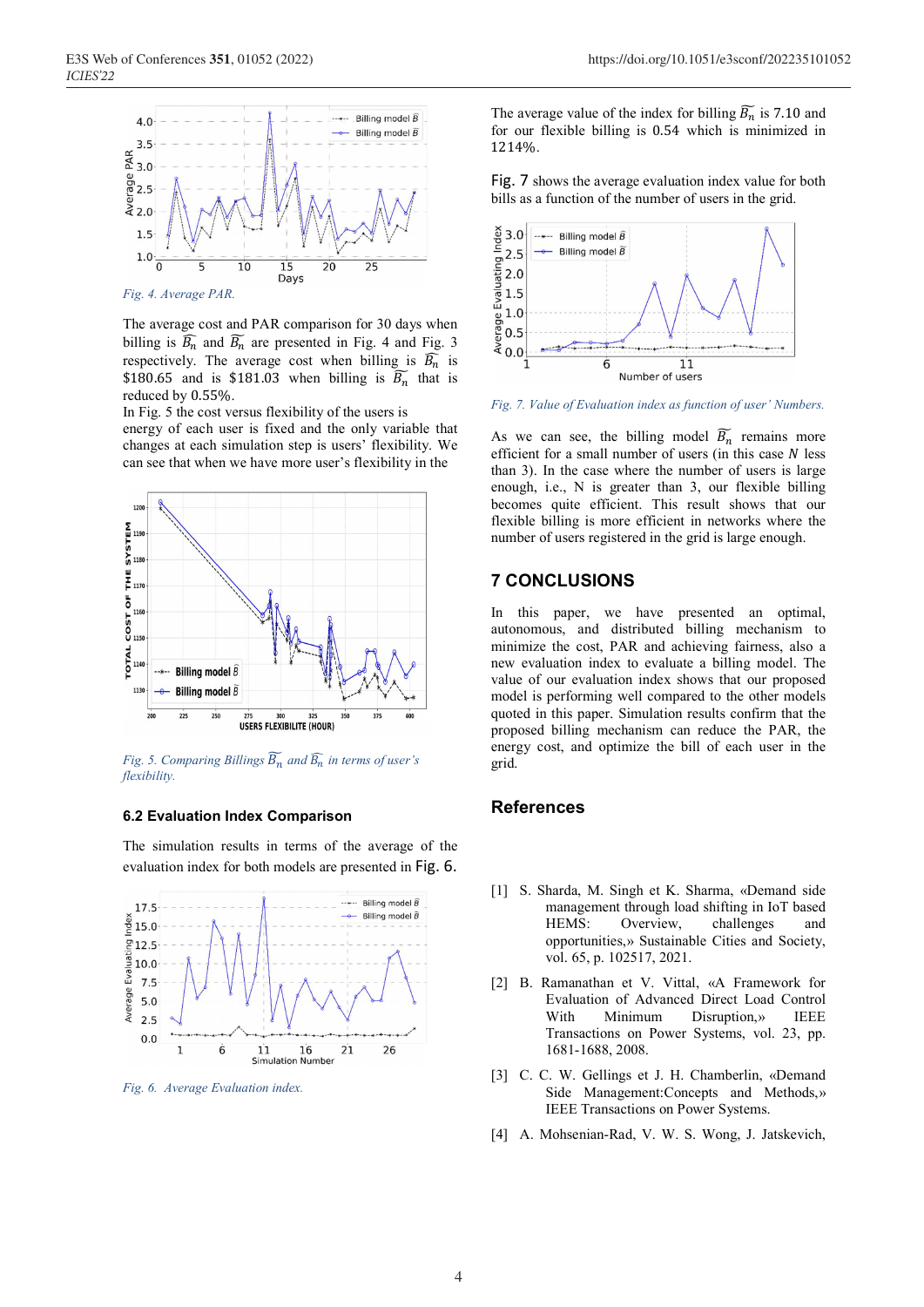

The average cost and PAR comparison for 30 days when billing is  $\widehat{B_n}$  and  $\widehat{B_n}$  are presented in Fig. 4 and Fig. 3 respectively. The average cost when billing is  $\overline{B_n}$  is \$180.65 and is \$181.03 when billing is  $\overline{B_n}$  that is reduced by 0.55%.

In Fig. 5 the cost versus flexibility of the users is energy of each user is fixed and the only variable that changes at each simulation step is users' flexibility. We can see that when we have more user's flexibility in the



*Fig. 5. Comparing Billings*  $\overline{B}_n$  *and*  $\widehat{B}_n$  *in terms of user's flexibility.* 

#### **6.2 Evaluation Index Comparison**

The simulation results in terms of the average of the evaluation index for both models are presented in Fig. 6.



*Fig. 6. Average Evaluation index.* 

The average value of the index for billing  $B_n$  is 7.10 and for our flexible billing is 0.54 which is minimized in 1214%.

Fig. 7 shows the average evaluation index value for both bills as a function of the number of users in the grid.



*Fig. 7. Value of Evaluation index as function of user' Numbers.* 

As we can see, the billing model  $\overline{B_n}$  remains more efficient for a small number of users (in this case  $N$  less than 3). In the case where the number of users is large enough, i.e., N is greater than 3, our flexible billing becomes quite efficient. This result shows that our flexible billing is more efficient in networks where the number of users registered in the grid is large enough.

# **7 CONCLUSIONS**

In this paper, we have presented an optimal, autonomous, and distributed billing mechanism to minimize the cost, PAR and achieving fairness, also a new evaluation index to evaluate a billing model. The value of our evaluation index shows that our proposed model is performing well compared to the other models quoted in this paper. Simulation results confirm that the proposed billing mechanism can reduce the PAR, the energy cost, and optimize the bill of each user in the grid.

# **References**

- [1] S. Sharda, M. Singh et K. Sharma, «Demand side management through load shifting in IoT based HEMS: Overview, challenges and opportunities,» Sustainable Cities and Society, vol. 65, p. 102517, 2021.
- [2] B. Ramanathan et V. Vittal, «A Framework for Evaluation of Advanced Direct Load Control With Minimum Disruption,» IEEE Transactions on Power Systems, vol. 23, pp. 1681-1688, 2008.
- [3] C. C. W. Gellings et J. H. Chamberlin, «Demand Side Management:Concepts and Methods,» IEEE Transactions on Power Systems.
- [4] A. Mohsenian-Rad, V. W. S. Wong, J. Jatskevich,